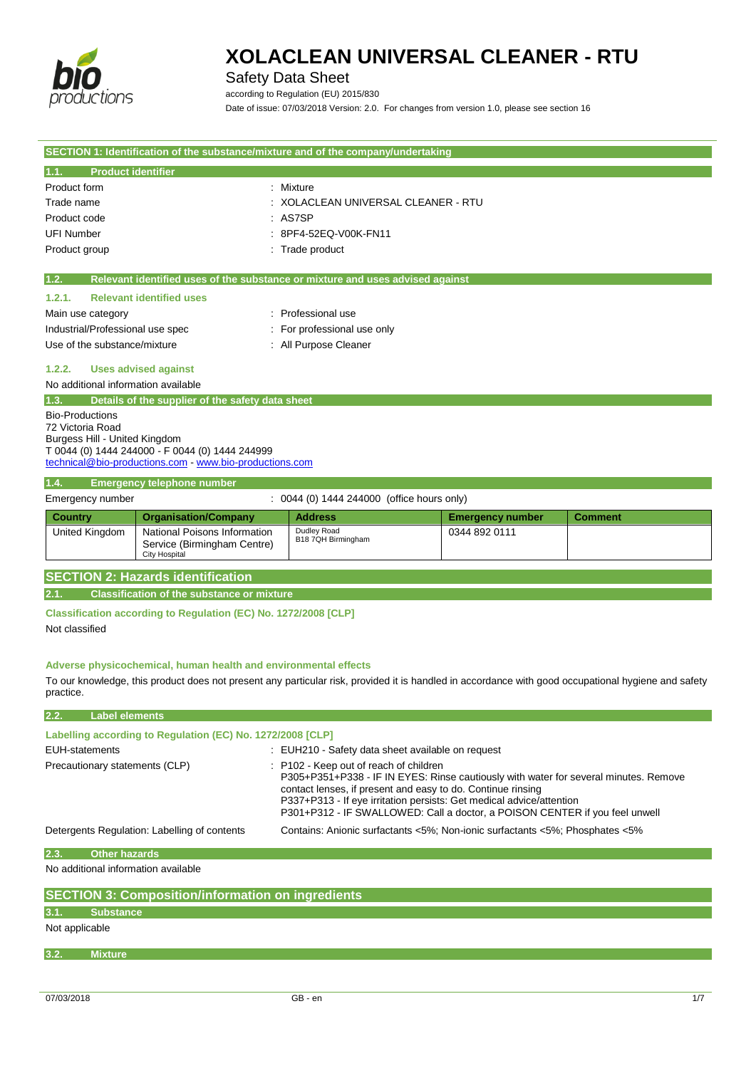

## **XOLACLEAN UNIVERSAL CLEANER - RTU**

Safety Data Sheet

according to Regulation (EU) 2015/830 Date of issue: 07/03/2018 Version: 2.0. For changes from version 1.0, please see section 16

|                                     |                                                                 | SECTION 1: Identification of the substance/mixture and of the company/undertaking                                                                   |                         |                |
|-------------------------------------|-----------------------------------------------------------------|-----------------------------------------------------------------------------------------------------------------------------------------------------|-------------------------|----------------|
| <b>Product identifier</b><br>1.1.   |                                                                 |                                                                                                                                                     |                         |                |
| Product form                        |                                                                 | : Mixture                                                                                                                                           |                         |                |
| Trade name                          |                                                                 | XOLACLEAN UNIVERSAL CLEANER - RTU                                                                                                                   |                         |                |
| Product code                        |                                                                 | : AS7SP                                                                                                                                             |                         |                |
| <b>UFI Number</b>                   |                                                                 | 8PF4-52EQ-V00K-FN11                                                                                                                                 |                         |                |
| Product group                       |                                                                 | : Trade product                                                                                                                                     |                         |                |
| 1.2.                                |                                                                 | Relevant identified uses of the substance or mixture and uses advised against                                                                       |                         |                |
| 1.2.1.                              | <b>Relevant identified uses</b>                                 |                                                                                                                                                     |                         |                |
| Main use category                   |                                                                 | : Professional use                                                                                                                                  |                         |                |
| Industrial/Professional use spec    |                                                                 | For professional use only                                                                                                                           |                         |                |
| Use of the substance/mixture        |                                                                 | : All Purpose Cleaner                                                                                                                               |                         |                |
| 1.2.2.                              | <b>Uses advised against</b>                                     |                                                                                                                                                     |                         |                |
| No additional information available |                                                                 |                                                                                                                                                     |                         |                |
| 1.3.                                | Details of the supplier of the safety data sheet                |                                                                                                                                                     |                         |                |
| <b>Bio-Productions</b>              |                                                                 |                                                                                                                                                     |                         |                |
| 72 Victoria Road                    |                                                                 |                                                                                                                                                     |                         |                |
| Burgess Hill - United Kingdom       | T 0044 (0) 1444 244000 - F 0044 (0) 1444 244999                 |                                                                                                                                                     |                         |                |
|                                     | technical@bio-productions.com www.bio-productions.com           |                                                                                                                                                     |                         |                |
| 1.4.                                | <b>Emergency telephone number</b>                               |                                                                                                                                                     |                         |                |
| Emergency number                    |                                                                 | : 0044 (0) 1444 244000 (office hours only)                                                                                                          |                         |                |
| <b>Country</b>                      | <b>Organisation/Company</b>                                     | <b>Address</b>                                                                                                                                      | <b>Emergency number</b> | <b>Comment</b> |
| United Kingdom                      | National Poisons Information                                    | Dudley Road                                                                                                                                         | 0344 892 0111           |                |
|                                     | Service (Birmingham Centre)<br><b>City Hospital</b>             | B18 7QH Birmingham                                                                                                                                  |                         |                |
|                                     | <b>SECTION 2: Hazards identification</b>                        |                                                                                                                                                     |                         |                |
|                                     |                                                                 |                                                                                                                                                     |                         |                |
| 2.1.                                | <b>Classification of the substance or mixture</b>               |                                                                                                                                                     |                         |                |
|                                     | Classification according to Regulation (EC) No. 1272/2008 [CLP] |                                                                                                                                                     |                         |                |
| Not classified                      |                                                                 |                                                                                                                                                     |                         |                |
|                                     |                                                                 |                                                                                                                                                     |                         |                |
|                                     | Adverse physicochemical, human health and environmental effects |                                                                                                                                                     |                         |                |
|                                     |                                                                 | To our knowledge, this product does not present any particular risk, provided it is handled in accordance with good occupational hygiene and safety |                         |                |
| practice.                           |                                                                 |                                                                                                                                                     |                         |                |
| <b>Label elements</b><br>2.2.       |                                                                 |                                                                                                                                                     |                         |                |
|                                     | Labelling according to Regulation (EC) No. 1272/2008 [CLP]      |                                                                                                                                                     |                         |                |
| <b>EUH-statements</b>               |                                                                 | : EUH210 - Safety data sheet available on request                                                                                                   |                         |                |
| Precautionary statements (CLP)      |                                                                 | : P102 - Keep out of reach of children                                                                                                              |                         |                |
|                                     |                                                                 | P305+P351+P338 - IF IN EYES: Rinse cautiously with water for several minutes. Remove                                                                |                         |                |
|                                     |                                                                 | contact lenses, if present and easy to do. Continue rinsing<br>P337+P313 - If eye irritation persists: Get medical advice/attention                 |                         |                |
|                                     |                                                                 | P301+P312 - IF SWALLOWED: Call a doctor, a POISON CENTER if you feel unwell                                                                         |                         |                |
|                                     | Detergents Regulation: Labelling of contents                    | Contains: Anionic surfactants <5%; Non-ionic surfactants <5%; Phosphates <5%                                                                        |                         |                |
| 2.3.<br><b>Other hazards</b>        |                                                                 |                                                                                                                                                     |                         |                |
| No additional information available |                                                                 |                                                                                                                                                     |                         |                |
|                                     |                                                                 |                                                                                                                                                     |                         |                |
|                                     | <b>SECTION 3: Composition/information on ingredients</b>        |                                                                                                                                                     |                         |                |
| 3.1.<br><b>Substance</b>            |                                                                 |                                                                                                                                                     |                         |                |
| Not applicable                      |                                                                 |                                                                                                                                                     |                         |                |
| 3.2.<br><b>Mixture</b>              |                                                                 |                                                                                                                                                     |                         |                |
|                                     |                                                                 |                                                                                                                                                     |                         |                |
|                                     |                                                                 |                                                                                                                                                     |                         |                |
| 07/03/2018                          |                                                                 | GB - en                                                                                                                                             |                         | 1/7            |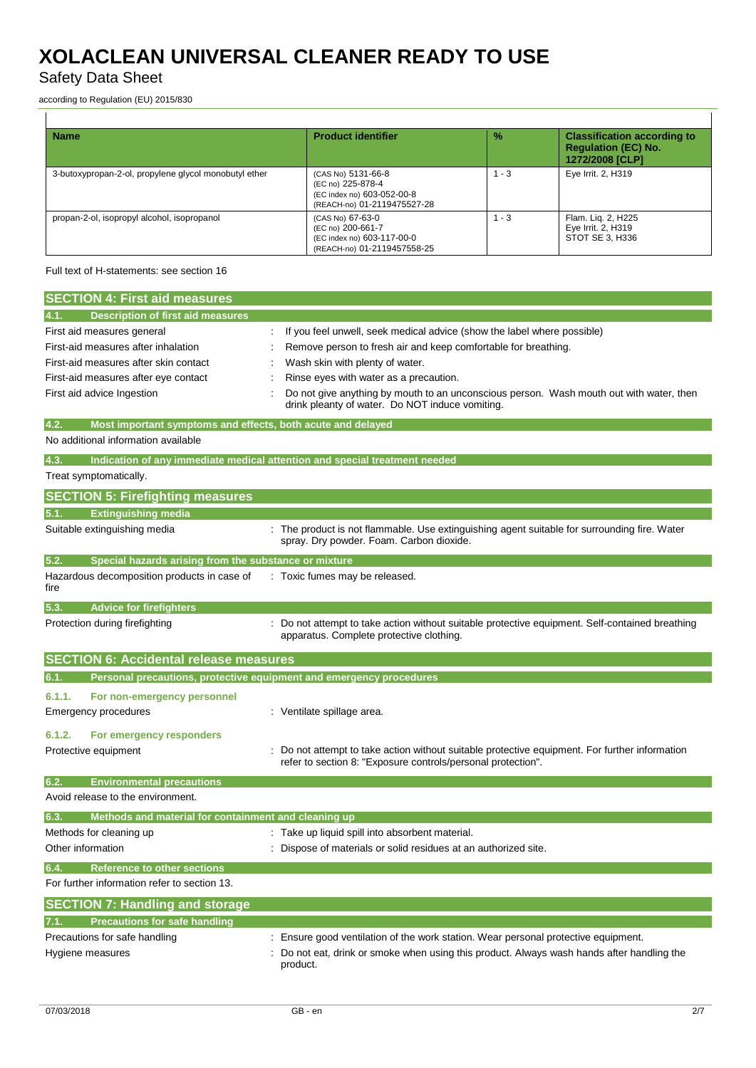### Safety Data Sheet

according to Regulation (EU) 2015/830

| <b>Name</b>                                           | <b>Product identifier</b>                                                                            | $\%$  | <b>Classification according to</b><br><b>Requlation (EC) No.</b><br>1272/2008 [CLP] |
|-------------------------------------------------------|------------------------------------------------------------------------------------------------------|-------|-------------------------------------------------------------------------------------|
| 3-butoxypropan-2-ol, propylene glycol monobutyl ether | (CAS No) 5131-66-8<br>(EC no) 225-878-4<br>(EC index no) 603-052-00-8<br>(REACH-no) 01-2119475527-28 | 1 - 3 | Eye Irrit. 2, H319                                                                  |
| propan-2-ol, isopropyl alcohol, isopropanol           | (CAS No) 67-63-0<br>(EC no) 200-661-7<br>(EC index no) 603-117-00-0<br>(REACH-no) 01-2119457558-25   | 1 - 3 | Flam. Lig. 2, H225<br>Eye Irrit. 2, H319<br>STOT SE 3, H336                         |

Full text of H-statements: see section 16

| <b>SECTION 4: First aid measures</b>                                        |                                                                                                                                                              |
|-----------------------------------------------------------------------------|--------------------------------------------------------------------------------------------------------------------------------------------------------------|
|                                                                             |                                                                                                                                                              |
| <b>Description of first aid measures</b><br> 4.1.                           |                                                                                                                                                              |
| First aid measures general                                                  | If you feel unwell, seek medical advice (show the label where possible)                                                                                      |
| First-aid measures after inhalation                                         | Remove person to fresh air and keep comfortable for breathing.                                                                                               |
| First-aid measures after skin contact                                       | Wash skin with plenty of water.                                                                                                                              |
| First-aid measures after eye contact                                        | Rinse eyes with water as a precaution.                                                                                                                       |
| First aid advice Ingestion                                                  | Do not give anything by mouth to an unconscious person. Wash mouth out with water, then<br>drink pleanty of water. Do NOT induce vomiting.                   |
| 4.2.<br>Most important symptoms and effects, both acute and delayed         |                                                                                                                                                              |
| No additional information available                                         |                                                                                                                                                              |
| 4.3.                                                                        | Indication of any immediate medical attention and special treatment needed                                                                                   |
| Treat symptomatically.                                                      |                                                                                                                                                              |
| <b>SECTION 5: Firefighting measures</b>                                     |                                                                                                                                                              |
| <b>Extinguishing media</b><br>5.1.                                          |                                                                                                                                                              |
| Suitable extinguishing media                                                | : The product is not flammable. Use extinguishing agent suitable for surrounding fire. Water<br>spray. Dry powder. Foam. Carbon dioxide.                     |
| 5.2.<br>Special hazards arising from the substance or mixture               |                                                                                                                                                              |
| Hazardous decomposition products in case of<br>fire                         | : Toxic fumes may be released.                                                                                                                               |
| 5.3.<br><b>Advice for firefighters</b>                                      |                                                                                                                                                              |
| Protection during firefighting                                              | Do not attempt to take action without suitable protective equipment. Self-contained breathing<br>apparatus. Complete protective clothing.                    |
| <b>SECTION 6: Accidental release measures</b>                               |                                                                                                                                                              |
| Personal precautions, protective equipment and emergency procedures<br>6.1. |                                                                                                                                                              |
| 6.1.1.<br>For non-emergency personnel                                       |                                                                                                                                                              |
| <b>Emergency procedures</b>                                                 | : Ventilate spillage area.                                                                                                                                   |
| 6.1.2.<br>For emergency responders                                          |                                                                                                                                                              |
| Protective equipment                                                        | Do not attempt to take action without suitable protective equipment. For further information<br>refer to section 8: "Exposure controls/personal protection". |
| <b>Environmental precautions</b><br>6.2.                                    |                                                                                                                                                              |
| Avoid release to the environment.                                           |                                                                                                                                                              |
| 6.3.<br>Methods and material for containment and cleaning up                |                                                                                                                                                              |
| Methods for cleaning up                                                     | : Take up liquid spill into absorbent material.                                                                                                              |
| Other information                                                           | Dispose of materials or solid residues at an authorized site                                                                                                 |
| 6.4.<br><b>Reference to other sections</b>                                  |                                                                                                                                                              |
| For further information refer to section 13.                                |                                                                                                                                                              |
| <b>SECTION 7: Handling and storage</b>                                      |                                                                                                                                                              |
| <b>Precautions for safe handling</b><br>7.1.                                |                                                                                                                                                              |
| Precautions for safe handling                                               | Ensure good ventilation of the work station. Wear personal protective equipment.                                                                             |
| Hygiene measures                                                            | Do not eat, drink or smoke when using this product. Always wash hands after handling the<br>product.                                                         |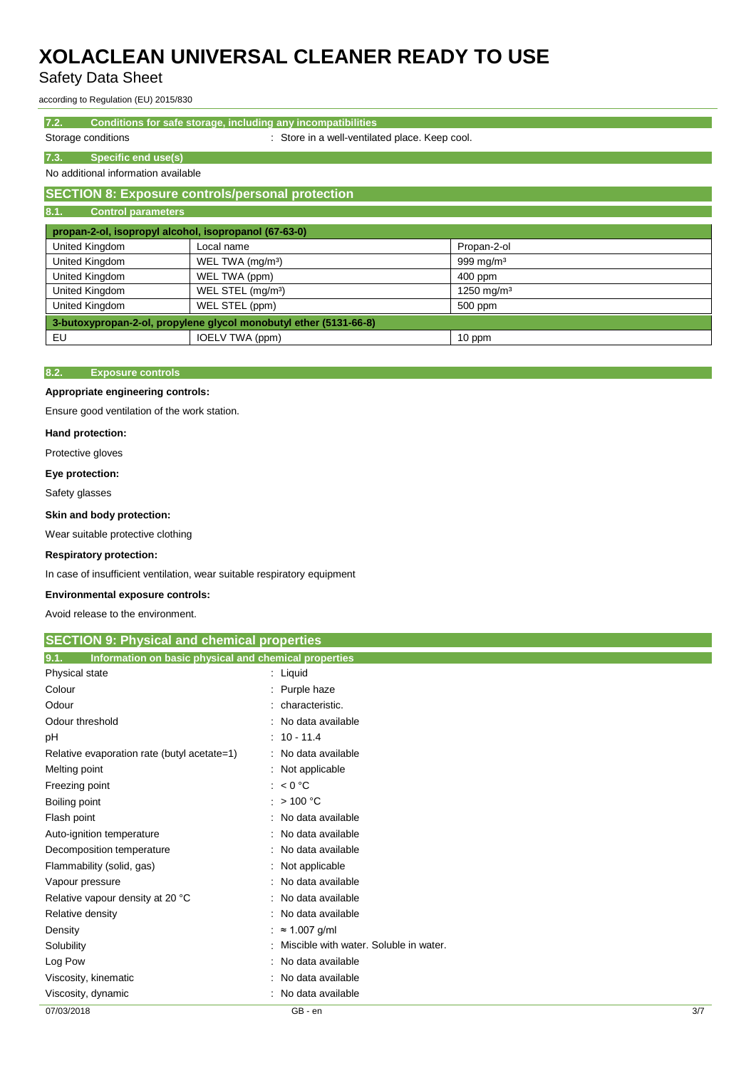Safety Data Sheet

according to Regulation (EU) 2015/830

**7.2. Conditions for safe storage, including any incompatibilities**

Storage conditions **Storage conditions** : Store in a well-ventilated place. Keep cool.

### **7.3. Specific end use(s)** No additional information available

### **SECTION 8: Exposure controls/personal protection**

| 8.1.<br><b>Control parameters</b>                                 |                               |                        |
|-------------------------------------------------------------------|-------------------------------|------------------------|
| propan-2-ol, isopropyl alcohol, isopropanol (67-63-0)             |                               |                        |
| <b>United Kingdom</b>                                             | Local name                    | Propan-2-ol            |
| United Kingdom                                                    | WEL TWA (mg/m <sup>3</sup> )  | 999 mg/m $3$           |
| <b>United Kingdom</b>                                             | WEL TWA (ppm)                 | 400 ppm                |
| United Kingdom                                                    | WEL STEL (mg/m <sup>3</sup> ) | 1250 mg/m <sup>3</sup> |
| United Kingdom                                                    | WEL STEL (ppm)                | 500 ppm                |
| 3-butoxypropan-2-ol, propylene glycol monobutyl ether (5131-66-8) |                               |                        |
| EU                                                                | IOELV TWA (ppm)               | 10 ppm                 |

#### **8.2. Exposure controls**

### **Appropriate engineering controls:**

Ensure good ventilation of the work station.

#### **Hand protection:**

Protective gloves

#### **Eye protection:**

Safety glasses

### **Skin and body protection:**

Wear suitable protective clothing

#### **Respiratory protection:**

In case of insufficient ventilation, wear suitable respiratory equipment

### **Environmental exposure controls:**

Avoid release to the environment.

| <b>SECTION 9: Physical and chemical properties</b> |                                                       |     |  |
|----------------------------------------------------|-------------------------------------------------------|-----|--|
| 9.1.                                               | Information on basic physical and chemical properties |     |  |
| Physical state                                     | : Liquid                                              |     |  |
| Colour                                             | : Purple haze                                         |     |  |
| Odour                                              | : characteristic.                                     |     |  |
| Odour threshold                                    | No data available                                     |     |  |
| рH                                                 | $: 10 - 11.4$                                         |     |  |
| Relative evaporation rate (butyl acetate=1)        | : No data available                                   |     |  |
| Melting point                                      | : Not applicable                                      |     |  |
| Freezing point                                     | : $< 0$ °C                                            |     |  |
| Boiling point                                      | : $>100 °C$                                           |     |  |
| Flash point                                        | : No data available                                   |     |  |
| Auto-ignition temperature                          | No data available                                     |     |  |
| Decomposition temperature                          | No data available                                     |     |  |
| Flammability (solid, gas)                          | Not applicable                                        |     |  |
| Vapour pressure                                    | No data available                                     |     |  |
| Relative vapour density at 20 °C                   | No data available                                     |     |  |
| Relative density                                   | No data available                                     |     |  |
| Density                                            | $\approx$ 1.007 g/ml                                  |     |  |
| Solubility                                         | Miscible with water. Soluble in water.                |     |  |
| Log Pow                                            | No data available                                     |     |  |
| Viscosity, kinematic                               | No data available                                     |     |  |
| Viscosity, dynamic                                 | : No data available                                   |     |  |
| 07/03/2018                                         | GB - en                                               | 3/7 |  |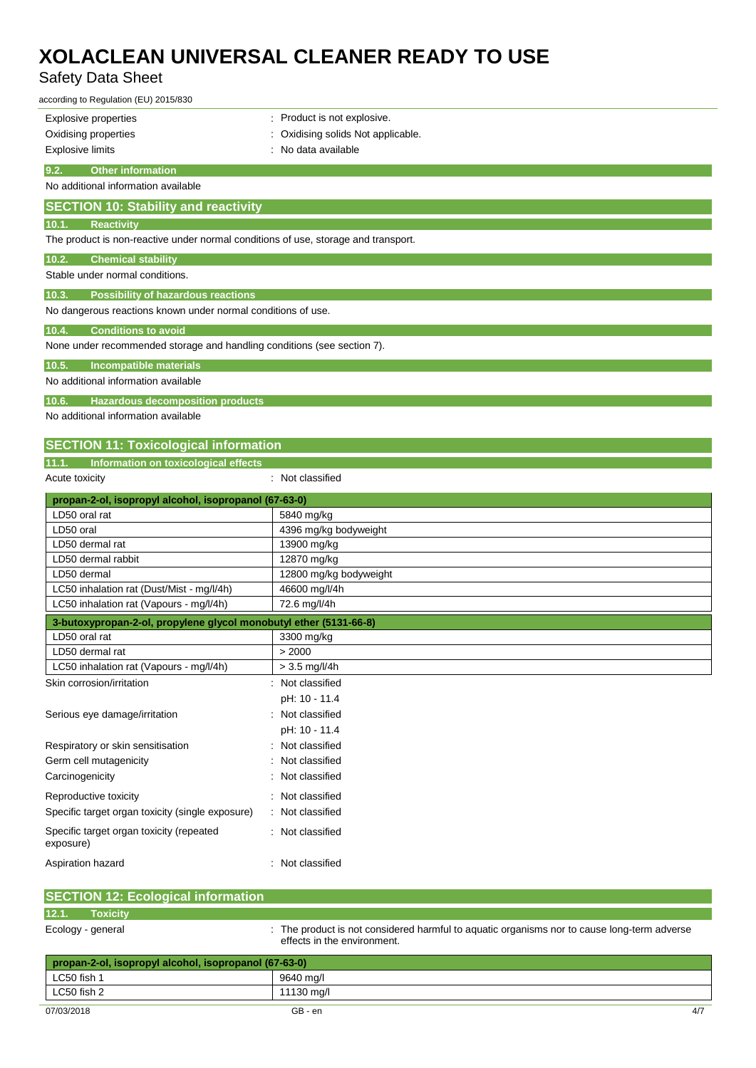## Safety Data Sheet

| according to Regulation (EU) 2015/830                                                |                                  |
|--------------------------------------------------------------------------------------|----------------------------------|
| <b>Explosive properties</b>                                                          | : Product is not explosive.      |
| Oxidising properties                                                                 | Oxidising solids Not applicable. |
| <b>Explosive limits</b>                                                              | : No data available              |
| <b>Other information</b><br>9.2.                                                     |                                  |
| No additional information available                                                  |                                  |
| <b>SECTION 10: Stability and reactivity</b>                                          |                                  |
| <b>Reactivity</b><br>10.1.                                                           |                                  |
| The product is non-reactive under normal conditions of use, storage and transport.   |                                  |
|                                                                                      |                                  |
| 10.2.<br><b>Chemical stability</b><br>Stable under normal conditions.                |                                  |
|                                                                                      |                                  |
| 10.3.<br><b>Possibility of hazardous reactions</b>                                   |                                  |
| No dangerous reactions known under normal conditions of use.                         |                                  |
| <b>Conditions to avoid</b><br>10.4.                                                  |                                  |
| None under recommended storage and handling conditions (see section 7).              |                                  |
| Incompatible materials<br>10.5.                                                      |                                  |
| No additional information available                                                  |                                  |
| <b>Hazardous decomposition products</b><br>10.6.                                     |                                  |
| No additional information available                                                  |                                  |
|                                                                                      |                                  |
| <b>SECTION 11: Toxicological information</b>                                         |                                  |
| Information on toxicological effects<br>11.1.                                        |                                  |
| Acute toxicity                                                                       | : Not classified                 |
| propan-2-ol, isopropyl alcohol, isopropanol (67-63-0)                                |                                  |
| LD50 oral rat                                                                        | 5840 mg/kg                       |
| LD50 oral                                                                            | 4396 mg/kg bodyweight            |
| LD50 dermal rat                                                                      | 13900 mg/kg                      |
| LD50 dermal rabbit                                                                   | 12870 mg/kg                      |
| LD50 dermal                                                                          | 12800 mg/kg bodyweight           |
| LC50 inhalation rat (Dust/Mist - mg/l/4h)<br>LC50 inhalation rat (Vapours - mg/l/4h) | 46600 mg/l/4h<br>72.6 mg/l/4h    |
|                                                                                      |                                  |
| 3-butoxypropan-2-ol, propylene glycol monobutyl ether (5131-66-8)<br>LD50 oral rat   | 3300 mg/kg                       |
| LD50 dermal rat                                                                      | > 2000                           |
| LC50 inhalation rat (Vapours - mg/l/4h)                                              | $> 3.5$ mg/l/4h                  |
| Skin corrosion/irritation                                                            | : Not classified                 |
|                                                                                      | pH: 10 - 11.4                    |
| Serious eye damage/irritation                                                        | : Not classified                 |
|                                                                                      | pH: 10 - 11.4                    |
| Respiratory or skin sensitisation                                                    | Not classified                   |
| Germ cell mutagenicity                                                               | Not classified                   |
| Carcinogenicity                                                                      | Not classified                   |
| Reproductive toxicity                                                                | Not classified                   |
| Specific target organ toxicity (single exposure)                                     | Not classified                   |
|                                                                                      | : Not classified                 |
| Specific target organ toxicity (repeated<br>exposure)                                |                                  |
| Aspiration hazard                                                                    | : Not classified                 |

| <b>SECTION 12: Ecological information</b>             |                                                                                                                            |
|-------------------------------------------------------|----------------------------------------------------------------------------------------------------------------------------|
| 12.1.<br><b>Toxicity</b>                              |                                                                                                                            |
| Ecology - general                                     | : The product is not considered harmful to aquatic organisms nor to cause long-term adverse<br>effects in the environment. |
| propan-2-ol, isopropyl alcohol, isopropanol (67-63-0) |                                                                                                                            |
| LC50 fish 1                                           | 9640 mg/l                                                                                                                  |

| ___<br>___________          |                  |     |
|-----------------------------|------------------|-----|
| $\mathcal{C}50$ fish<br>∟∪∪ | 9640 ma/l        |     |
| LC50 fish 2                 | $1130 \text{ m}$ |     |
| 07/03/2018                  | GB - en          | 4/7 |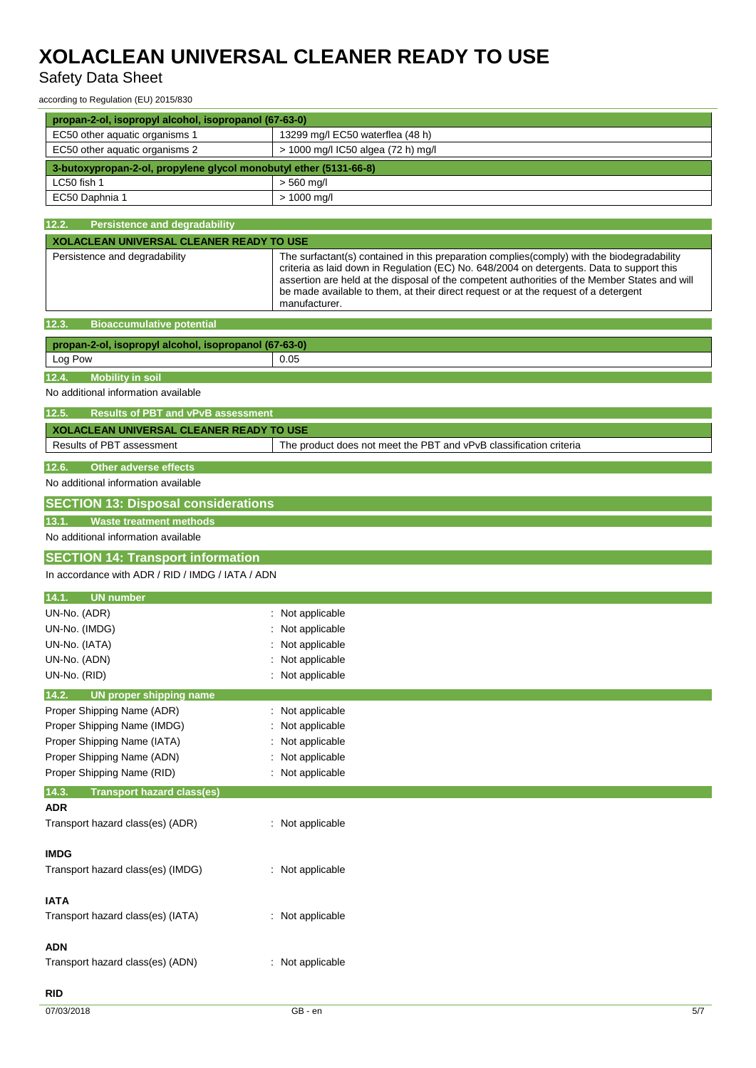### Safety Data Sheet

according to Regulation (EU) 2015/830

| propan-2-ol, isopropyl alcohol, isopropanol (67-63-0)             |                                                                                                                                                                                                                                                                                                    |
|-------------------------------------------------------------------|----------------------------------------------------------------------------------------------------------------------------------------------------------------------------------------------------------------------------------------------------------------------------------------------------|
| EC50 other aquatic organisms 1                                    | 13299 mg/l EC50 waterflea (48 h)                                                                                                                                                                                                                                                                   |
| EC50 other aquatic organisms 2                                    | > 1000 mg/l IC50 algea (72 h) mg/l                                                                                                                                                                                                                                                                 |
| 3-butoxypropan-2-ol, propylene glycol monobutyl ether (5131-66-8) |                                                                                                                                                                                                                                                                                                    |
| LC50 fish 1                                                       | $> 560$ mg/l                                                                                                                                                                                                                                                                                       |
| EC50 Daphnia 1                                                    | $> 1000$ mg/l                                                                                                                                                                                                                                                                                      |
| 12.2.<br><b>Persistence and degradability</b>                     |                                                                                                                                                                                                                                                                                                    |
| <b>XOLACLEAN UNIVERSAL CLEANER READY TO USE</b>                   |                                                                                                                                                                                                                                                                                                    |
| Persistence and degradability                                     | The surfactant(s) contained in this preparation complies(comply) with the biodegradability                                                                                                                                                                                                         |
|                                                                   | criteria as laid down in Regulation (EC) No. 648/2004 on detergents. Data to support this<br>assertion are held at the disposal of the competent authorities of the Member States and will<br>be made available to them, at their direct request or at the request of a detergent<br>manufacturer. |
| 12.3.<br><b>Bioaccumulative potential</b>                         |                                                                                                                                                                                                                                                                                                    |
| propan-2-ol, isopropyl alcohol, isopropanol (67-63-0)             |                                                                                                                                                                                                                                                                                                    |
| Log Pow                                                           | 0.05                                                                                                                                                                                                                                                                                               |
| <b>Mobility in soil</b><br>12.4.                                  |                                                                                                                                                                                                                                                                                                    |
| No additional information available                               |                                                                                                                                                                                                                                                                                                    |
| 12.5.<br><b>Results of PBT and vPvB assessment</b>                |                                                                                                                                                                                                                                                                                                    |
| <b>XOLACLEAN UNIVERSAL CLEANER READY TO USE</b>                   |                                                                                                                                                                                                                                                                                                    |
| Results of PBT assessment                                         | The product does not meet the PBT and vPvB classification criteria                                                                                                                                                                                                                                 |
|                                                                   |                                                                                                                                                                                                                                                                                                    |
| 12.6.<br><b>Other adverse effects</b>                             |                                                                                                                                                                                                                                                                                                    |
| No additional information available                               |                                                                                                                                                                                                                                                                                                    |
| <b>SECTION 13: Disposal considerations</b>                        |                                                                                                                                                                                                                                                                                                    |
| 13.1.<br><b>Waste treatment methods</b>                           |                                                                                                                                                                                                                                                                                                    |
| No additional information available                               |                                                                                                                                                                                                                                                                                                    |
| <b>SECTION 14: Transport information</b>                          |                                                                                                                                                                                                                                                                                                    |
| In accordance with ADR / RID / IMDG / IATA / ADN                  |                                                                                                                                                                                                                                                                                                    |
| <b>UN number</b><br>14.1.                                         |                                                                                                                                                                                                                                                                                                    |
| UN-No. (ADR)                                                      | : Not applicable                                                                                                                                                                                                                                                                                   |
| UN-No. (IMDG)                                                     | Not applicable                                                                                                                                                                                                                                                                                     |
| UN-No. (IATA)                                                     | Not applicable                                                                                                                                                                                                                                                                                     |
| UN-No. (ADN)                                                      | Not applicable                                                                                                                                                                                                                                                                                     |
| UN-No. (RID)                                                      | Not applicable                                                                                                                                                                                                                                                                                     |
| UN proper shipping name<br>14.2.                                  |                                                                                                                                                                                                                                                                                                    |
| Proper Shipping Name (ADR)                                        | : Not applicable                                                                                                                                                                                                                                                                                   |
| Proper Shipping Name (IMDG)                                       | : Not applicable                                                                                                                                                                                                                                                                                   |
| Proper Shipping Name (IATA)                                       | : Not applicable                                                                                                                                                                                                                                                                                   |
| Proper Shipping Name (ADN)                                        | : Not applicable                                                                                                                                                                                                                                                                                   |
| Proper Shipping Name (RID)                                        | : Not applicable                                                                                                                                                                                                                                                                                   |
| 14.3.<br><b>Transport hazard class(es)</b>                        |                                                                                                                                                                                                                                                                                                    |
| <b>ADR</b>                                                        |                                                                                                                                                                                                                                                                                                    |
| Transport hazard class(es) (ADR)                                  | : Not applicable                                                                                                                                                                                                                                                                                   |
|                                                                   |                                                                                                                                                                                                                                                                                                    |
| <b>IMDG</b>                                                       |                                                                                                                                                                                                                                                                                                    |
| Transport hazard class(es) (IMDG)                                 | : Not applicable                                                                                                                                                                                                                                                                                   |
|                                                                   |                                                                                                                                                                                                                                                                                                    |
| <b>IATA</b>                                                       |                                                                                                                                                                                                                                                                                                    |
| Transport hazard class(es) (IATA)                                 | : Not applicable                                                                                                                                                                                                                                                                                   |
|                                                                   |                                                                                                                                                                                                                                                                                                    |
| <b>ADN</b>                                                        |                                                                                                                                                                                                                                                                                                    |
| Transport hazard class(es) (ADN)                                  | : Not applicable                                                                                                                                                                                                                                                                                   |
| <b>RID</b>                                                        |                                                                                                                                                                                                                                                                                                    |
|                                                                   |                                                                                                                                                                                                                                                                                                    |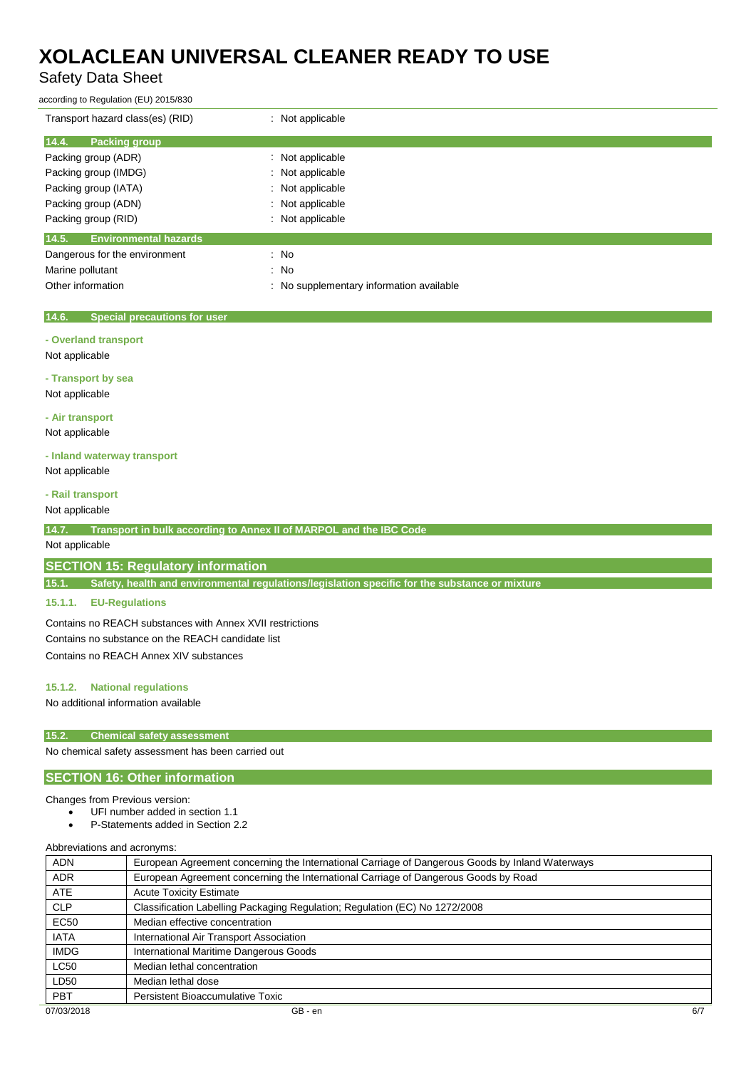### Safety Data Sheet

according to Regulation (EU) 2015/830

| Transport hazard class(es) (RID)      | : Not applicable                         |
|---------------------------------------|------------------------------------------|
| 14.4.<br><b>Packing group</b>         |                                          |
| Packing group (ADR)                   | : Not applicable                         |
| Packing group (IMDG)                  | : Not applicable                         |
| Packing group (IATA)                  | : Not applicable                         |
| Packing group (ADN)                   | : Not applicable                         |
| Packing group (RID)                   | : Not applicable                         |
| 14.5.<br><b>Environmental hazards</b> |                                          |
| Dangerous for the environment         | : No                                     |
| Marine pollutant                      | : No                                     |
| Other information                     | : No supplementary information available |
|                                       |                                          |

#### **14.6. Special precautions for user**

### **- Overland transport**

Not applicable

**- Transport by sea** Not applicable

### **- Air transport**

Not applicable

### **- Inland waterway transport**

Not applicable

### **- Rail transport**

Not applicable

**14.7. Transport in bulk according to Annex II of MARPOL and the IBC Code**

Not applicable

### **SECTION 15: Regulatory information**

**15.1. Safety, health and environmental regulations/legislation specific for the substance or mixture**

### **15.1.1. EU-Regulations**

Contains no REACH substances with Annex XVII restrictions Contains no substance on the REACH candidate list Contains no REACH Annex XIV substances

### **15.1.2. National regulations**

No additional information available

#### **15.2. Chemical safety assessment**

No chemical safety assessment has been carried out

### **SECTION 16: Other information**

Changes from Previous version:

- UFI number added in section 1.1
- P-Statements added in Section 2.2

Abbreviations and acronyms:

| <b>ADN</b>       | European Agreement concerning the International Carriage of Dangerous Goods by Inland Waterways |
|------------------|-------------------------------------------------------------------------------------------------|
| <b>ADR</b>       | European Agreement concerning the International Carriage of Dangerous Goods by Road             |
| <b>ATE</b>       | <b>Acute Toxicity Estimate</b>                                                                  |
| <b>CLP</b>       | Classification Labelling Packaging Regulation; Regulation (EC) No 1272/2008                     |
| EC <sub>50</sub> | Median effective concentration                                                                  |
| <b>IATA</b>      | International Air Transport Association                                                         |
| <b>IMDG</b>      | International Maritime Dangerous Goods                                                          |
| <b>LC50</b>      | Median lethal concentration                                                                     |
| LD50             | Median lethal dose                                                                              |
| <b>PBT</b>       | Persistent Bioaccumulative Toxic                                                                |